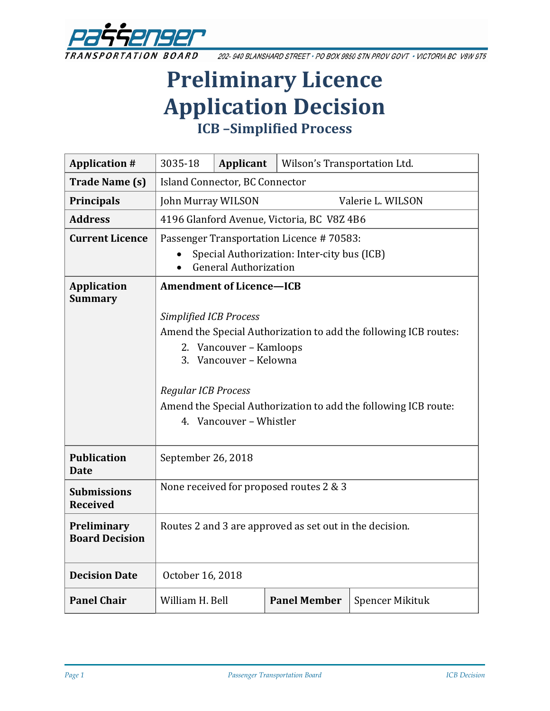

202-940 BLANSHARD STREET . PO BOX 9850 STN PROV GOVT . VICTORIA BC V8W 9T5

# **Preliminary Licence Application Decision ICB –Simplified Process**

| <b>Application #</b>                  | 3035-18                                                          | Applicant | Wilson's Transportation Ltd. |                        |  |
|---------------------------------------|------------------------------------------------------------------|-----------|------------------------------|------------------------|--|
| <b>Trade Name (s)</b>                 | Island Connector, BC Connector                                   |           |                              |                        |  |
| <b>Principals</b>                     | John Murray WILSON                                               |           |                              | Valerie L. WILSON      |  |
| <b>Address</b>                        | 4196 Glanford Avenue, Victoria, BC V8Z 4B6                       |           |                              |                        |  |
| <b>Current Licence</b>                | Passenger Transportation Licence #70583:                         |           |                              |                        |  |
|                                       | Special Authorization: Inter-city bus (ICB)                      |           |                              |                        |  |
|                                       | <b>General Authorization</b>                                     |           |                              |                        |  |
| <b>Application</b><br><b>Summary</b>  | <b>Amendment of Licence-ICB</b>                                  |           |                              |                        |  |
|                                       | <b>Simplified ICB Process</b>                                    |           |                              |                        |  |
|                                       | Amend the Special Authorization to add the following ICB routes: |           |                              |                        |  |
|                                       | 2. Vancouver - Kamloops                                          |           |                              |                        |  |
|                                       | 3. Vancouver - Kelowna                                           |           |                              |                        |  |
|                                       | <b>Regular ICB Process</b>                                       |           |                              |                        |  |
|                                       | Amend the Special Authorization to add the following ICB route:  |           |                              |                        |  |
|                                       | 4. Vancouver - Whistler                                          |           |                              |                        |  |
|                                       |                                                                  |           |                              |                        |  |
| <b>Publication</b><br><b>Date</b>     | September 26, 2018                                               |           |                              |                        |  |
|                                       | None received for proposed routes 2 & 3                          |           |                              |                        |  |
| <b>Submissions</b><br><b>Received</b> |                                                                  |           |                              |                        |  |
| Preliminary                           | Routes 2 and 3 are approved as set out in the decision.          |           |                              |                        |  |
| <b>Board Decision</b>                 |                                                                  |           |                              |                        |  |
| <b>Decision Date</b>                  | October 16, 2018                                                 |           |                              |                        |  |
| <b>Panel Chair</b>                    | William H. Bell                                                  |           | <b>Panel Member</b>          | <b>Spencer Mikituk</b> |  |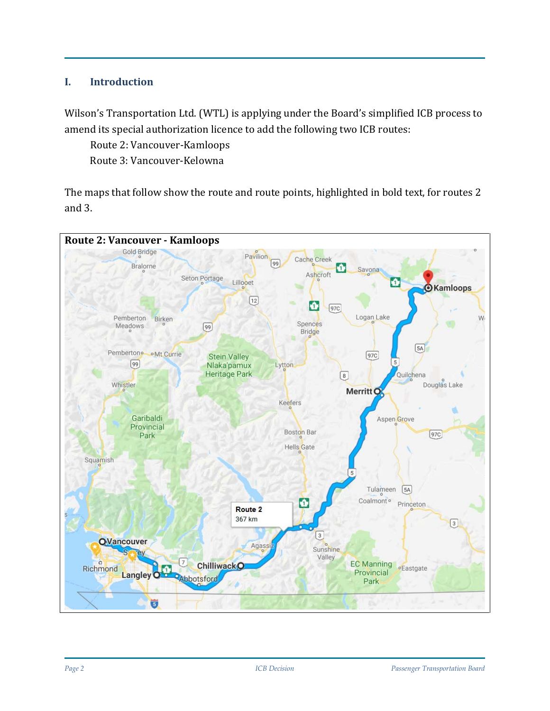#### **I. Introduction**

Wilson's Transportation Ltd. (WTL) is applying under the Board's simplified ICB process to amend its special authorization licence to add the following two ICB routes:

Route 2: Vancouver-Kamloops

Route 3: Vancouver-Kelowna

The maps that follow show the route and route points, highlighted in bold text, for routes 2 and 3.

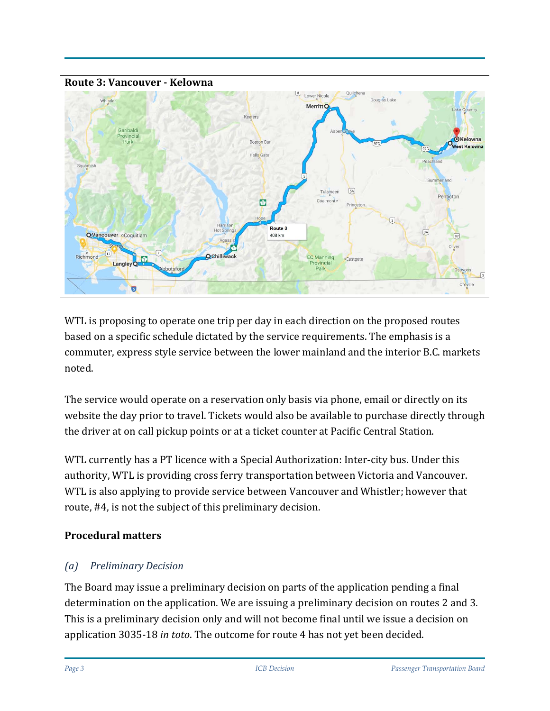

WTL is proposing to operate one trip per day in each direction on the proposed routes based on a specific schedule dictated by the service requirements. The emphasis is a commuter, express style service between the lower mainland and the interior B.C. markets noted.

The service would operate on a reservation only basis via phone, email or directly on its website the day prior to travel. Tickets would also be available to purchase directly through the driver at on call pickup points or at a ticket counter at Pacific Central Station.

WTL currently has a PT licence with a Special Authorization: Inter-city bus. Under this authority, WTL is providing cross ferry transportation between Victoria and Vancouver. WTL is also applying to provide service between Vancouver and Whistler; however that route, #4, is not the subject of this preliminary decision.

## **Procedural matters**

# *(a) Preliminary Decision*

The Board may issue a preliminary decision on parts of the application pending a final determination on the application. We are issuing a preliminary decision on routes 2 and 3. This is a preliminary decision only and will not become final until we issue a decision on application 3035-18 *in toto*. The outcome for route 4 has not yet been decided.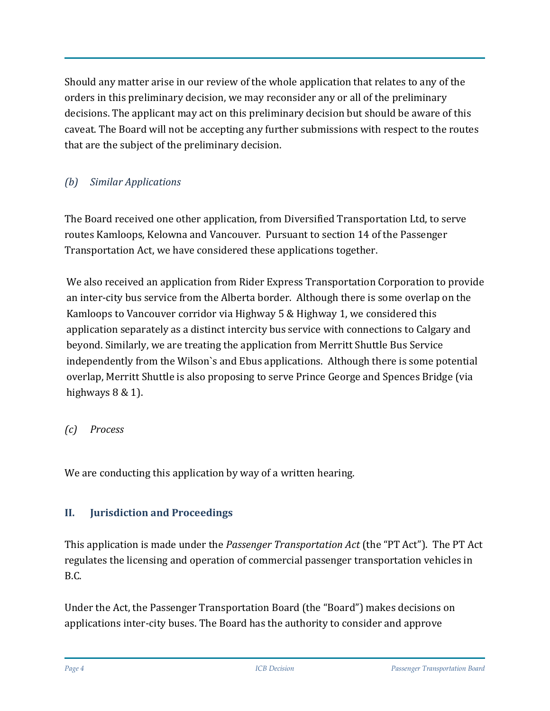Should any matter arise in our review of the whole application that relates to any of the orders in this preliminary decision, we may reconsider any or all of the preliminary decisions. The applicant may act on this preliminary decision but should be aware of this caveat. The Board will not be accepting any further submissions with respect to the routes that are the subject of the preliminary decision.

# *(b) Similar Applications*

The Board received one other application, from Diversified Transportation Ltd, to serve routes Kamloops, Kelowna and Vancouver. Pursuant to section 14 of the Passenger Transportation Act, we have considered these applications together.

We also received an application from Rider Express Transportation Corporation to provide an inter-city bus service from the Alberta border. Although there is some overlap on the Kamloops to Vancouver corridor via Highway 5 & Highway 1, we considered this application separately as a distinct intercity bus service with connections to Calgary and beyond. Similarly, we are treating the application from Merritt Shuttle Bus Service independently from the Wilson`s and Ebus applications. Although there is some potential overlap, Merritt Shuttle is also proposing to serve Prince George and Spences Bridge (via highways  $8 \& 1$ ).

#### *(c) Process*

We are conducting this application by way of a written hearing.

## **II. Jurisdiction and Proceedings**

This application is made under the *Passenger Transportation Act* (the "PT Act"). The PT Act regulates the licensing and operation of commercial passenger transportation vehicles in B.C.

Under the Act, the Passenger Transportation Board (the "Board") makes decisions on applications inter-city buses. The Board has the authority to consider and approve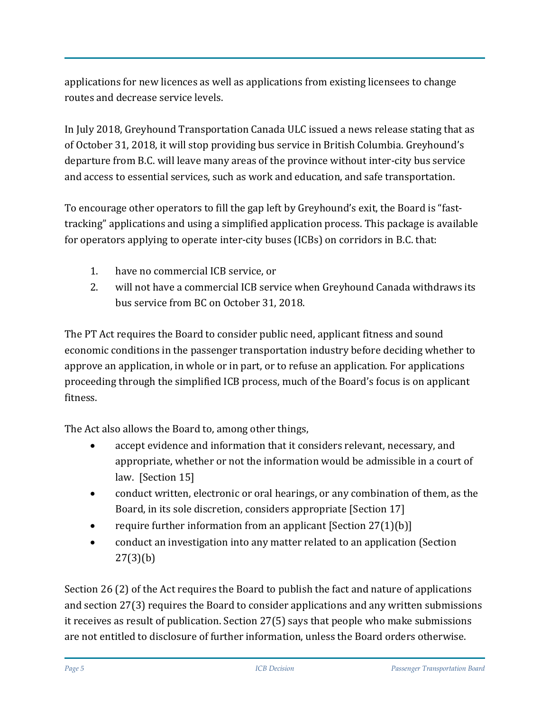applications for new licences as well as applications from existing licensees to change routes and decrease service levels.

In July 2018, Greyhound Transportation Canada ULC issued a news release stating that as of October 31, 2018, it will stop providing bus service in British Columbia. Greyhound's departure from B.C. will leave many areas of the province without inter-city bus service and access to essential services, such as work and education, and safe transportation.

To encourage other operators to fill the gap left by Greyhound's exit, the Board is "fasttracking" applications and using a simplified application process. This package is available for operators applying to operate inter-city buses (ICBs) on corridors in B.C. that:

- 1. have no commercial ICB service, or
- 2. will not have a commercial ICB service when Greyhound Canada [withdraws its](https://www.newswire.ca/news-releases/greyhound-canada-to-downsize-its-canadian-business-based-on-a-41-decline-in-ridership-since-2010-687687091.html)  [bus service](https://www.newswire.ca/news-releases/greyhound-canada-to-downsize-its-canadian-business-based-on-a-41-decline-in-ridership-since-2010-687687091.html) from BC on October 31, 2018.

The PT Act requires the Board to consider public need, applicant fitness and sound economic conditions in the passenger transportation industry before deciding whether to approve an application, in whole or in part, or to refuse an application. For applications proceeding through the simplified ICB process, much of the Board's focus is on applicant fitness.

The Act also allows the Board to, among other things,

- accept evidence and information that it considers relevant, necessary, and appropriate, whether or not the information would be admissible in a court of law. [Section 15]
- conduct written, electronic or oral hearings, or any combination of them, as the Board, in its sole discretion, considers appropriate [Section 17]
- require further information from an applicant [Section 27(1)(b)]
- conduct an investigation into any matter related to an application (Section 27(3)(b)

Section 26 (2) of the Act requires the Board to publish the fact and nature of applications and section 27(3) requires the Board to consider applications and any written submissions it receives as result of publication. Section 27(5) says that people who make submissions are not entitled to disclosure of further information, unless the Board orders otherwise.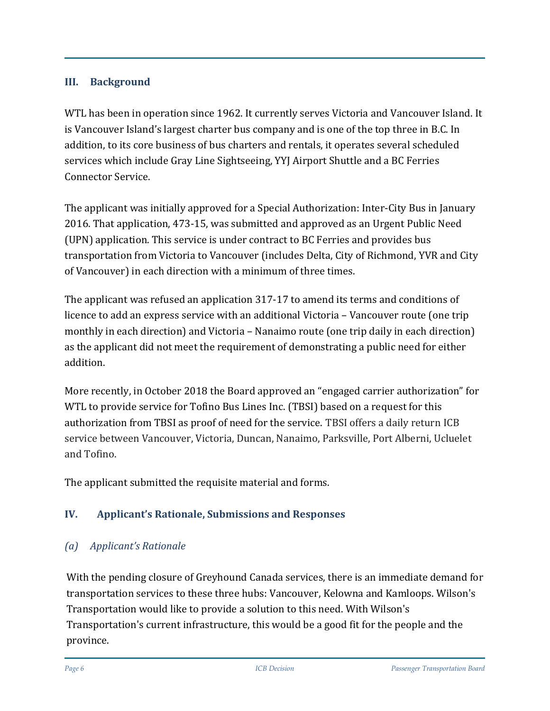#### **III. Background**

WTL has been in operation since 1962. It currently serves Victoria and Vancouver Island. It is Vancouver Island's largest charter bus company and is one of the top three in B.C. In addition, to its core business of bus charters and rentals, it operates several scheduled services which include Gray Line Sightseeing, YYJ Airport Shuttle and a BC Ferries Connector Service.

The applicant was initially approved for a Special Authorization: Inter-City Bus in January 2016. That application, 473-15, was submitted and approved as an Urgent Public Need (UPN) application. This service is under contract to BC Ferries and provides bus transportation from Victoria to Vancouver (includes Delta, City of Richmond, YVR and City of Vancouver) in each direction with a minimum of three times.

The applicant was refused an application 317-17 to amend its terms and conditions of licence to add an express service with an additional Victoria – Vancouver route (one trip monthly in each direction) and Victoria – Nanaimo route (one trip daily in each direction) as the applicant did not meet the requirement of demonstrating a public need for either addition.

More recently, in October 2018 the Board approved an "engaged carrier authorization" for WTL to provide service for Tofino Bus Lines Inc. (TBSI) based on a request for this authorization from TBSI as proof of need for the service. TBSI offers a daily return ICB service between Vancouver, Victoria, Duncan, Nanaimo, Parksville, Port Alberni, Ucluelet and Tofino.

The applicant submitted the requisite material and forms.

## **IV. Applicant's Rationale, Submissions and Responses**

## *(a) Applicant's Rationale*

With the pending closure of Greyhound Canada services, there is an immediate demand for transportation services to these three hubs: Vancouver, Kelowna and Kamloops. Wilson's Transportation would like to provide a solution to this need. With Wilson's Transportation's current infrastructure, this would be a good fit for the people and the province.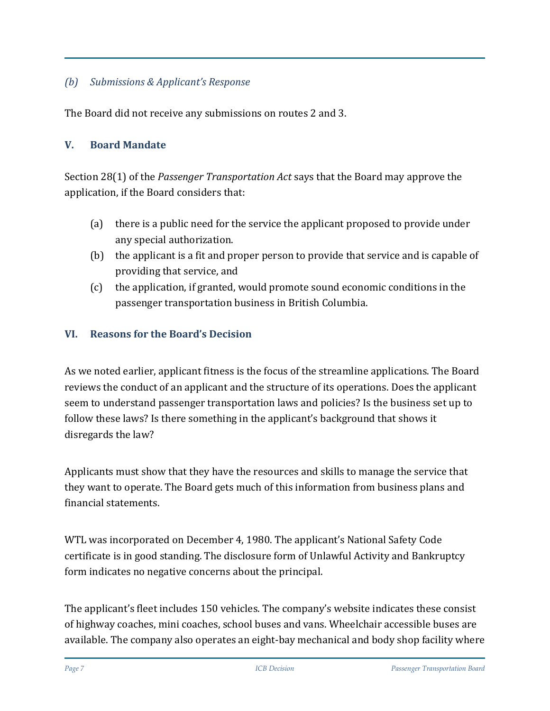## *(b) Submissions & Applicant's Response*

The Board did not receive any submissions on routes 2 and 3.

#### **V. Board Mandate**

Section 28(1) of the *Passenger Transportation Act* says that the Board may approve the application, if the Board considers that:

- (a) there is a public need for the service the applicant proposed to provide under any special authorization.
- (b) the applicant is a fit and proper person to provide that service and is capable of providing that service, and
- (c) the application, if granted, would promote sound economic conditions in the passenger transportation business in British Columbia.

#### **VI. Reasons for the Board's Decision**

As we noted earlier, applicant fitness is the focus of the streamline applications. The Board reviews the conduct of an applicant and the structure of its operations. Does the applicant seem to understand passenger transportation laws and policies? Is the business set up to follow these laws? Is there something in the applicant's background that shows it disregards the law?

Applicants must show that they have the resources and skills to manage the service that they want to operate. The Board gets much of this information from business plans and financial statements.

WTL was incorporated on December 4, 1980. The applicant's National Safety Code certificate is in good standing. The disclosure form of Unlawful Activity and Bankruptcy form indicates no negative concerns about the principal.

The applicant's fleet includes 150 vehicles. The company's website indicates these consist of highway coaches, mini coaches, school buses and vans. Wheelchair accessible buses are available. The company also operates an eight-bay mechanical and body shop facility where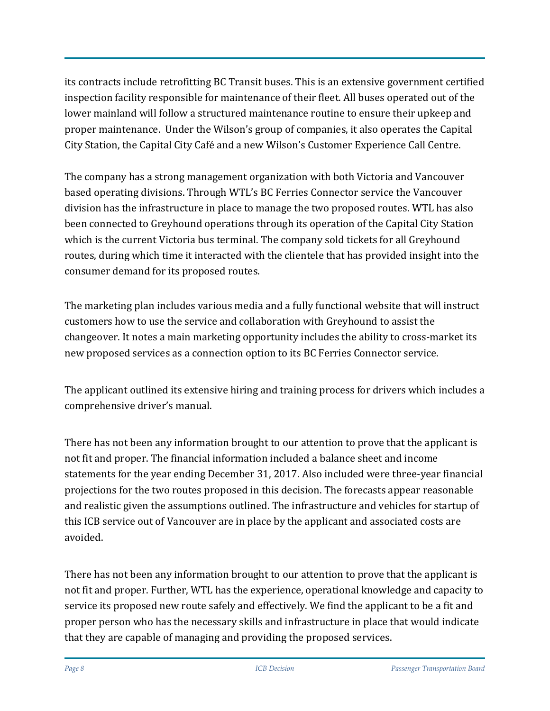its contracts include retrofitting BC Transit buses. This is an extensive government certified inspection facility responsible for maintenance of their fleet. All buses operated out of the lower mainland will follow a structured maintenance routine to ensure their upkeep and proper maintenance. Under the Wilson's group of companies, it also operates the Capital City Station, the Capital City Café and a new Wilson's Customer Experience Call Centre.

The company has a strong management organization with both Victoria and Vancouver based operating divisions. Through WTL's BC Ferries Connector service the Vancouver division has the infrastructure in place to manage the two proposed routes. WTL has also been connected to Greyhound operations through its operation of the Capital City Station which is the current Victoria bus terminal. The company sold tickets for all Greyhound routes, during which time it interacted with the clientele that has provided insight into the consumer demand for its proposed routes.

The marketing plan includes various media and a fully functional website that will instruct customers how to use the service and collaboration with Greyhound to assist the changeover. It notes a main marketing opportunity includes the ability to cross-market its new proposed services as a connection option to its BC Ferries Connector service.

The applicant outlined its extensive hiring and training process for drivers which includes a comprehensive driver's manual.

There has not been any information brought to our attention to prove that the applicant is not fit and proper. The financial information included a balance sheet and income statements for the year ending December 31, 2017. Also included were three-year financial projections for the two routes proposed in this decision. The forecasts appear reasonable and realistic given the assumptions outlined. The infrastructure and vehicles for startup of this ICB service out of Vancouver are in place by the applicant and associated costs are avoided.

There has not been any information brought to our attention to prove that the applicant is not fit and proper. Further, WTL has the experience, operational knowledge and capacity to service its proposed new route safely and effectively. We find the applicant to be a fit and proper person who has the necessary skills and infrastructure in place that would indicate that they are capable of managing and providing the proposed services.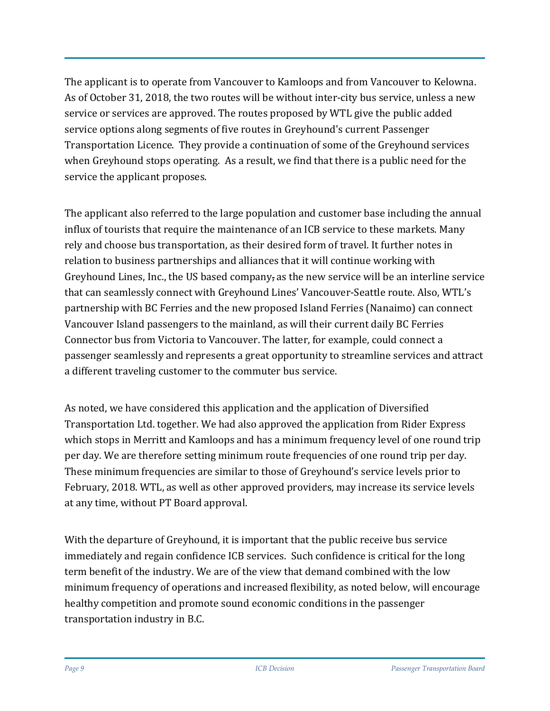The applicant is to operate from Vancouver to Kamloops and from Vancouver to Kelowna. As of October 31, 2018, the two routes will be without inter-city bus service, unless a new service or services are approved. The routes proposed by WTL give the public added service options along segments of five routes in Greyhound's current Passenger Transportation Licence. They provide a continuation of some of the Greyhound services when Greyhound stops operating. As a result, we find that there is a public need for the service the applicant proposes.

The applicant also referred to the large population and customer base including the annual influx of tourists that require the maintenance of an ICB service to these markets. Many rely and choose bus transportation, as their desired form of travel. It further notes in relation to business partnerships and alliances that it will continue working with Greyhound Lines, Inc., the US based company, as the new service will be an interline service that can seamlessly connect with Greyhound Lines' Vancouver-Seattle route. Also, WTL's partnership with BC Ferries and the new proposed Island Ferries (Nanaimo) can connect Vancouver Island passengers to the mainland, as will their current daily BC Ferries Connector bus from Victoria to Vancouver. The latter, for example, could connect a passenger seamlessly and represents a great opportunity to streamline services and attract a different traveling customer to the commuter bus service.

As noted, we have considered this application and the application of Diversified Transportation Ltd. together. We had also approved the application from Rider Express which stops in Merritt and Kamloops and has a minimum frequency level of one round trip per day. We are therefore setting minimum route frequencies of one round trip per day. These minimum frequencies are similar to those of Greyhound's service levels prior to February, 2018. WTL, as well as other approved providers, may increase its service levels at any time, without PT Board approval.

With the departure of Greyhound, it is important that the public receive bus service immediately and regain confidence ICB services. Such confidence is critical for the long term benefit of the industry. We are of the view that demand combined with the low minimum frequency of operations and increased flexibility, as noted below, will encourage healthy competition and promote sound economic conditions in the passenger transportation industry in B.C.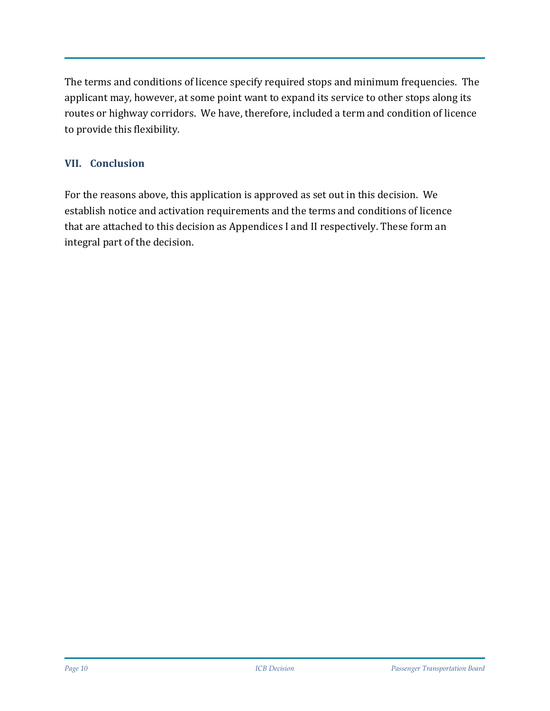The terms and conditions of licence specify required stops and minimum frequencies. The applicant may, however, at some point want to expand its service to other stops along its routes or highway corridors. We have, therefore, included a term and condition of licence to provide this flexibility.

#### **VII. Conclusion**

For the reasons above, this application is approved as set out in this decision. We establish notice and activation requirements and the terms and conditions of licence that are attached to this decision as Appendices I and II respectively. These form an integral part of the decision.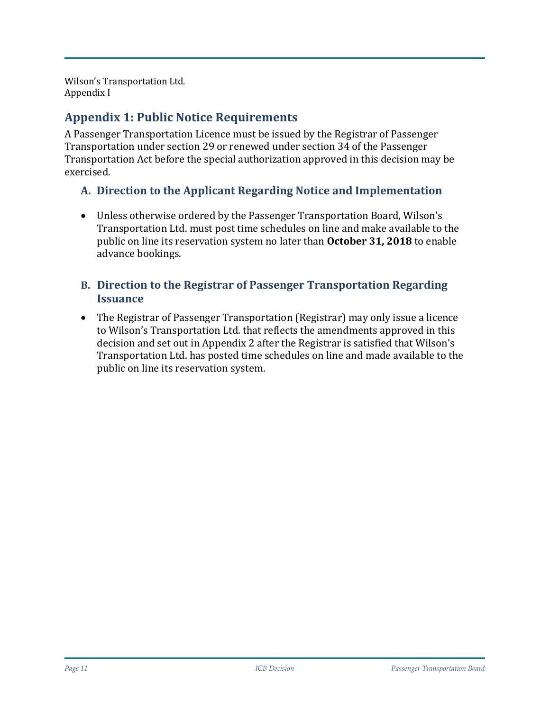Wilson's Transportation Ltd. Appendix I

# **Appendix 1: Public Notice Requirements**

A Passenger Transportation Licence must be issued by the Registrar of Passenger Transportation under section 29 or renewed under section 34 of the Passenger Transportation Act before the special authorization approved in this decision may be exercised.

## **A. Direction to the Applicant Regarding Notice and Implementation**

• Unless otherwise ordered by the Passenger Transportation Board, Wilson's Transportation Ltd. must post time schedules on line and make available to the public on line its reservation system no later than **October 31, 2018** to enable advance bookings.

#### **B. Direction to the Registrar of Passenger Transportation Regarding Issuance**

• The Registrar of Passenger Transportation (Registrar) may only issue a licence to Wilson's Transportation Ltd. that reflects the amendments approved in this decision and set out in Appendix 2 after the Registrar is satisfied that Wilson's Transportation Ltd. has posted time schedules on line and made available to the public on line its reservation system.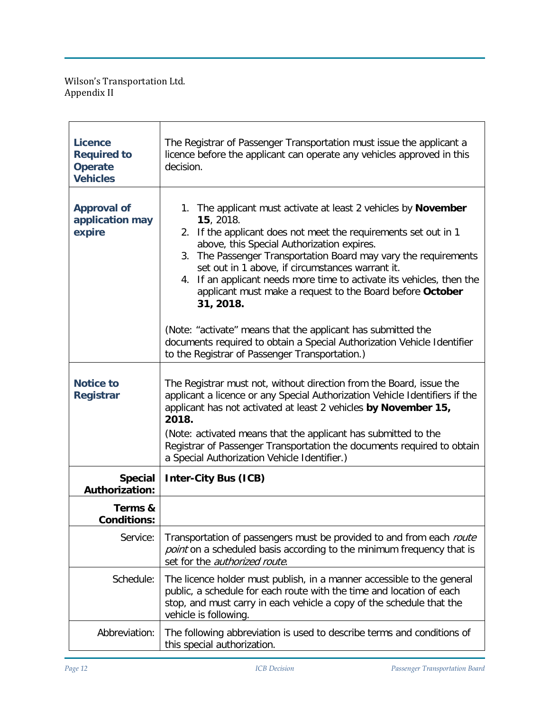Wilson's Transportation Ltd. Appendix II

| <b>Licence</b><br><b>Required to</b><br><b>Operate</b><br><b>Vehicles</b> | The Registrar of Passenger Transportation must issue the applicant a<br>licence before the applicant can operate any vehicles approved in this<br>decision.                                                                                                                                                                                                                                                                                                                                                                                                                                                                                                         |  |  |  |
|---------------------------------------------------------------------------|---------------------------------------------------------------------------------------------------------------------------------------------------------------------------------------------------------------------------------------------------------------------------------------------------------------------------------------------------------------------------------------------------------------------------------------------------------------------------------------------------------------------------------------------------------------------------------------------------------------------------------------------------------------------|--|--|--|
| <b>Approval of</b><br>application may<br>expire                           | 1. The applicant must activate at least 2 vehicles by November<br>15, 2018.<br>2. If the applicant does not meet the requirements set out in 1<br>above, this Special Authorization expires.<br>3. The Passenger Transportation Board may vary the requirements<br>set out in 1 above, if circumstances warrant it.<br>4. If an applicant needs more time to activate its vehicles, then the<br>applicant must make a request to the Board before October<br>31, 2018.<br>(Note: "activate" means that the applicant has submitted the<br>documents required to obtain a Special Authorization Vehicle Identifier<br>to the Registrar of Passenger Transportation.) |  |  |  |
| <b>Notice to</b><br><b>Registrar</b>                                      | The Registrar must not, without direction from the Board, issue the<br>applicant a licence or any Special Authorization Vehicle Identifiers if the<br>applicant has not activated at least 2 vehicles by November 15,<br>2018.<br>(Note: activated means that the applicant has submitted to the<br>Registrar of Passenger Transportation the documents required to obtain<br>a Special Authorization Vehicle Identifier.)                                                                                                                                                                                                                                          |  |  |  |
| <b>Special</b><br><b>Authorization:</b>                                   | <b>Inter-City Bus (ICB)</b>                                                                                                                                                                                                                                                                                                                                                                                                                                                                                                                                                                                                                                         |  |  |  |
| Terms &<br><b>Conditions:</b>                                             |                                                                                                                                                                                                                                                                                                                                                                                                                                                                                                                                                                                                                                                                     |  |  |  |
| Service:                                                                  | Transportation of passengers must be provided to and from each route<br>point on a scheduled basis according to the minimum frequency that is<br>set for the <i>authorized route</i> .                                                                                                                                                                                                                                                                                                                                                                                                                                                                              |  |  |  |
| Schedule:                                                                 | The licence holder must publish, in a manner accessible to the general<br>public, a schedule for each route with the time and location of each<br>stop, and must carry in each vehicle a copy of the schedule that the<br>vehicle is following.                                                                                                                                                                                                                                                                                                                                                                                                                     |  |  |  |
| Abbreviation:                                                             | The following abbreviation is used to describe terms and conditions of<br>this special authorization.                                                                                                                                                                                                                                                                                                                                                                                                                                                                                                                                                               |  |  |  |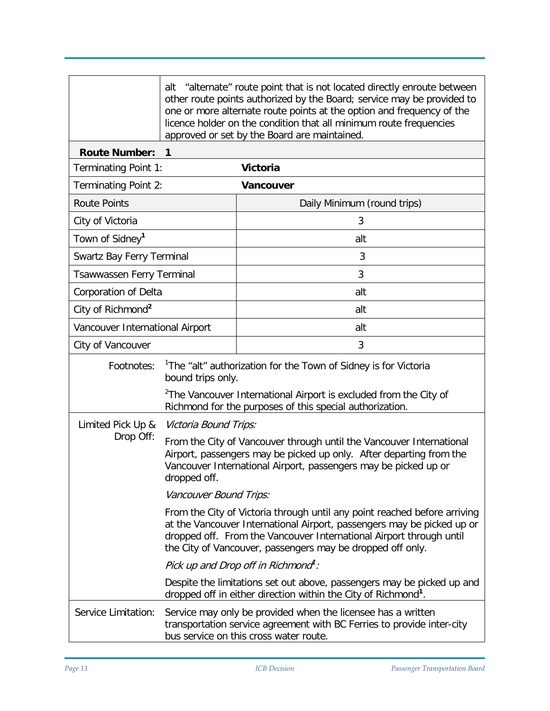|                                 | "alternate" route point that is not located directly enroute between<br>alt<br>other route points authorized by the Board; service may be provided to<br>one or more alternate route points at the option and frequency of the<br>licence holder on the condition that all minimum route frequencies<br>approved or set by the Board are maintained. |                             |  |  |
|---------------------------------|------------------------------------------------------------------------------------------------------------------------------------------------------------------------------------------------------------------------------------------------------------------------------------------------------------------------------------------------------|-----------------------------|--|--|
| <b>Route Number:</b>            | $\mathbf 1$                                                                                                                                                                                                                                                                                                                                          |                             |  |  |
| Terminating Point 1:            |                                                                                                                                                                                                                                                                                                                                                      | <b>Victoria</b>             |  |  |
| <b>Terminating Point 2:</b>     |                                                                                                                                                                                                                                                                                                                                                      | <b>Vancouver</b>            |  |  |
| <b>Route Points</b>             |                                                                                                                                                                                                                                                                                                                                                      | Daily Minimum (round trips) |  |  |
| City of Victoria                |                                                                                                                                                                                                                                                                                                                                                      | 3                           |  |  |
| Town of Sidney <sup>1</sup>     |                                                                                                                                                                                                                                                                                                                                                      | alt                         |  |  |
| Swartz Bay Ferry Terminal       |                                                                                                                                                                                                                                                                                                                                                      | 3                           |  |  |
| Tsawwassen Ferry Terminal       |                                                                                                                                                                                                                                                                                                                                                      | 3                           |  |  |
| Corporation of Delta            |                                                                                                                                                                                                                                                                                                                                                      | alt                         |  |  |
| City of Richmond <sup>2</sup>   |                                                                                                                                                                                                                                                                                                                                                      | alt                         |  |  |
| Vancouver International Airport |                                                                                                                                                                                                                                                                                                                                                      | alt                         |  |  |
| City of Vancouver               |                                                                                                                                                                                                                                                                                                                                                      | 3                           |  |  |
| Footnotes:                      | <sup>1</sup> The "alt" authorization for the Town of Sidney is for Victoria<br>bound trips only.                                                                                                                                                                                                                                                     |                             |  |  |
|                                 | <sup>2</sup> The Vancouver International Airport is excluded from the City of<br>Richmond for the purposes of this special authorization.                                                                                                                                                                                                            |                             |  |  |
| Limited Pick Up &               | Victoria Bound Trips:                                                                                                                                                                                                                                                                                                                                |                             |  |  |
| Drop Off:                       | From the City of Vancouver through until the Vancouver International<br>Airport, passengers may be picked up only. After departing from the<br>Vancouver International Airport, passengers may be picked up or<br>dropped off.                                                                                                                       |                             |  |  |
|                                 | Vancouver Bound Trips:                                                                                                                                                                                                                                                                                                                               |                             |  |  |
|                                 | From the City of Victoria through until any point reached before arriving<br>at the Vancouver International Airport, passengers may be picked up or<br>dropped off. From the Vancouver International Airport through until<br>the City of Vancouver, passengers may be dropped off only.                                                             |                             |  |  |
|                                 | Pick up and Drop off in Richmond <sup>1</sup> :                                                                                                                                                                                                                                                                                                      |                             |  |  |
|                                 | Despite the limitations set out above, passengers may be picked up and<br>dropped off in either direction within the City of Richmond <sup>1</sup> .                                                                                                                                                                                                 |                             |  |  |
| Service Limitation:             | Service may only be provided when the licensee has a written<br>transportation service agreement with BC Ferries to provide inter-city<br>bus service on this cross water route.                                                                                                                                                                     |                             |  |  |